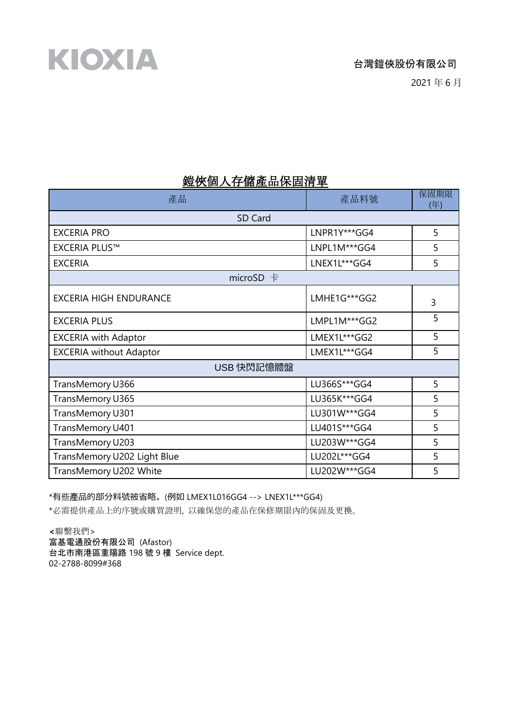2021 年 6 月

## 鎧俠個人存儲產品保固清單

| 產品                             | 產品料號           | 保固期限<br>(年) |  |
|--------------------------------|----------------|-------------|--|
| SD Card                        |                |             |  |
| <b>EXCERIA PRO</b>             | LNPR1Y***GG4   | 5           |  |
| <b>EXCERIA PLUS™</b>           | LNPL1M***GG4   | 5           |  |
| <b>EXCERIA</b>                 | LNEX1L***GG4   | 5           |  |
| microSD $+$                    |                |             |  |
| <b>EXCERIA HIGH ENDURANCE</b>  | LMHE1G***GG2   | 3           |  |
| <b>EXCERIA PLUS</b>            | LMPL1M***GG2   | 5           |  |
| <b>EXCERIA with Adaptor</b>    | LMEX1L***GG2   | 5           |  |
| <b>EXCERIA without Adaptor</b> | LMEX1L***GG4   | 5           |  |
| USB 快閃記憶體盤                     |                |             |  |
| TransMemory U366               | LU366S***GG4   | 5           |  |
| TransMemory U365               | LU365K***GG4   | 5           |  |
| TransMemory U301               | LU301W***GG4   | 5           |  |
| TransMemory U401               | LU401S***GG4   | 5           |  |
| TransMemory U203               | LU203W *** GG4 | 5           |  |
| TransMemory U202 Light Blue    | LU202L***GG4   | 5           |  |
| TransMemory U202 White         | LU202W***GG4   | 5           |  |

\*有些產品的部分料號被省略。(例如 LMEX1L016GG4 --> LNEX1L\*\*\*GG4)

\*必需提供產品上的序號或購買證明, 以確保您的產品在保修期限內的保固及更換。

**<**聯繫我們> 富基電通股份有限公司 (Afastor) 台北市南港區重陽路 198 號 9 樓 Service dept. 02-2788-8099#368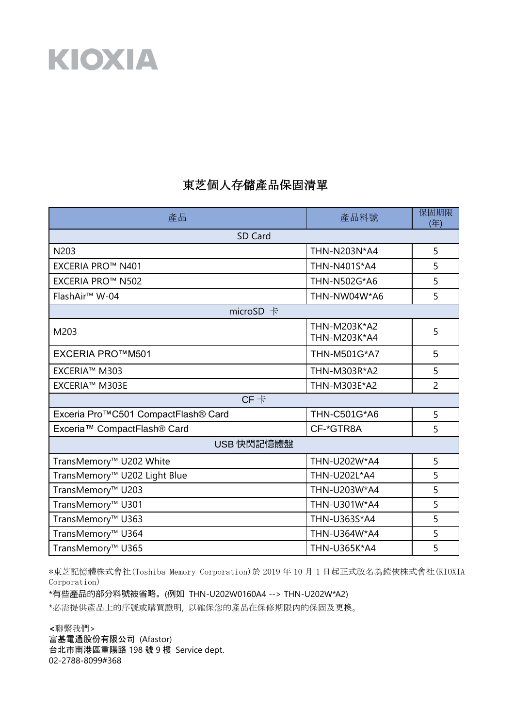## KIOXIA

## 東芝個人存儲產品保固清單

| 產品                                      | 產品料號                         | 保固期限<br>(年)    |  |
|-----------------------------------------|------------------------------|----------------|--|
| SD Card                                 |                              |                |  |
| N203                                    | THN-N203N*A4                 | 5              |  |
| EXCERIA PRO™ N401                       | THN-N401S*A4                 | 5              |  |
| EXCERIA PRO™ N502                       | THN-N502G*A6                 | 5              |  |
| FlashAir <sup>™</sup> W-04              | THN-NW04W*A6                 | 5              |  |
| microSD $+$                             |                              |                |  |
| M203                                    | THN-M203K*A2<br>THN-M203K*A4 | 5              |  |
| <b>EXCERIA PRO™M501</b>                 | <b>THN-M501G*A7</b>          | 5              |  |
| EXCERIA™ M303                           | THN-M303R*A2                 | 5              |  |
| EXCERIA™ M303E                          | THN-M303E*A2                 | $\overline{2}$ |  |
| $CF +$                                  |                              |                |  |
| Exceria Pro™C501 CompactFlash® Card     | THN-C501G*A6                 | 5              |  |
| Exceria <sup>™</sup> CompactFlash® Card | CF-*GTR8A                    | 5              |  |
| USB 快閃記憶體盤                              |                              |                |  |
| TransMemory™ U202 White                 | THN-U202W*A4                 | 5              |  |
| TransMemory™ U202 Light Blue            | THN-U202L*A4                 | 5              |  |
| TransMemory™ U203                       | THN-U203W*A4                 | 5              |  |
| TransMemory™ U301                       | THN-U301W*A4                 | 5              |  |
| TransMemory <sup>™</sup> U363           | THN-U363S*A4                 | 5              |  |
| TransMemory <sup>™</sup> U364           | THN-U364W*A4                 | 5              |  |
| TransMemory <sup>™</sup> U365           | THN-U365K*A4                 | 5              |  |

\*東芝記憶體株式會社(Toshiba Memory Corporation)於 2019 年 10 月 1 日起正式改名為鎧俠株式會社(KIOXIA Corporation)

\*有些產品的部分料號被省略。(例如 THN-U202W0160A4 --> THN-U202W\*A2)

\*必需提供產品上的序號或購買證明, 以確保您的產品在保修期限內的保固及更換。

**<**聯繫我們> 富基電通股份有限公司 (Afastor) 台北市南港區重陽路 198 號 9 樓 Service dept. 02-2788-8099#368